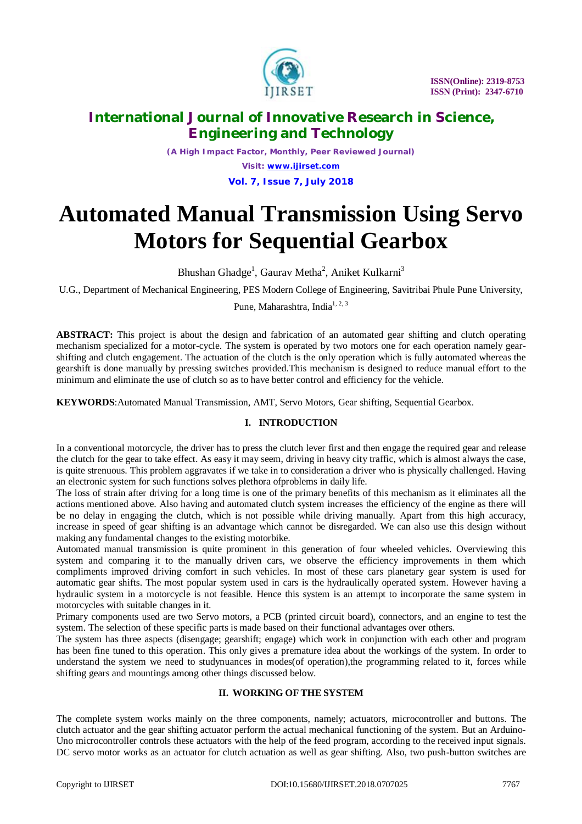

*(A High Impact Factor, Monthly, Peer Reviewed Journal) Visit: [www.ijirset.com](http://www.ijirset.com)* **Vol. 7, Issue 7, July 2018**

# **Automated Manual Transmission Using Servo Motors for Sequential Gearbox**

Bhushan Ghadge<sup>1</sup>, Gaurav Metha<sup>2</sup>, Aniket Kulkarni<sup>3</sup>

U.G., Department of Mechanical Engineering, PES Modern College of Engineering, Savitribai Phule Pune University,

Pune, Maharashtra, India<sup>1, 2, 3</sup>

**ABSTRACT:** This project is about the design and fabrication of an automated gear shifting and clutch operating mechanism specialized for a motor-cycle. The system is operated by two motors one for each operation namely gearshifting and clutch engagement. The actuation of the clutch is the only operation which is fully automated whereas the gearshift is done manually by pressing switches provided.This mechanism is designed to reduce manual effort to the minimum and eliminate the use of clutch so as to have better control and efficiency for the vehicle.

**KEYWORDS**:Automated Manual Transmission, AMT, Servo Motors, Gear shifting, Sequential Gearbox.

# **I. INTRODUCTION**

In a conventional motorcycle, the driver has to press the clutch lever first and then engage the required gear and release the clutch for the gear to take effect. As easy it may seem, driving in heavy city traffic, which is almost always the case, is quite strenuous. This problem aggravates if we take in to consideration a driver who is physically challenged. Having an electronic system for such functions solves plethora ofproblems in daily life.

The loss of strain after driving for a long time is one of the primary benefits of this mechanism as it eliminates all the actions mentioned above. Also having and automated clutch system increases the efficiency of the engine as there will be no delay in engaging the clutch, which is not possible while driving manually. Apart from this high accuracy, increase in speed of gear shifting is an advantage which cannot be disregarded. We can also use this design without making any fundamental changes to the existing motorbike.

Automated manual transmission is quite prominent in this generation of four wheeled vehicles. Overviewing this system and comparing it to the manually driven cars, we observe the efficiency improvements in them which compliments improved driving comfort in such vehicles. In most of these cars planetary gear system is used for automatic gear shifts. The most popular system used in cars is the hydraulically operated system. However having a hydraulic system in a motorcycle is not feasible. Hence this system is an attempt to incorporate the same system in motorcycles with suitable changes in it.

Primary components used are two Servo motors, a PCB (printed circuit board), connectors, and an engine to test the system. The selection of these specific parts is made based on their functional advantages over others.

The system has three aspects (disengage; gearshift; engage) which work in conjunction with each other and program has been fine tuned to this operation. This only gives a premature idea about the workings of the system. In order to understand the system we need to studynuances in modes(of operation),the programming related to it, forces while shifting gears and mountings among other things discussed below.

# **II. WORKING OF THE SYSTEM**

The complete system works mainly on the three components, namely; actuators, microcontroller and buttons. The clutch actuator and the gear shifting actuator perform the actual mechanical functioning of the system. But an Arduino-Uno microcontroller controls these actuators with the help of the feed program, according to the received input signals. DC servo motor works as an actuator for clutch actuation as well as gear shifting. Also, two push-button switches are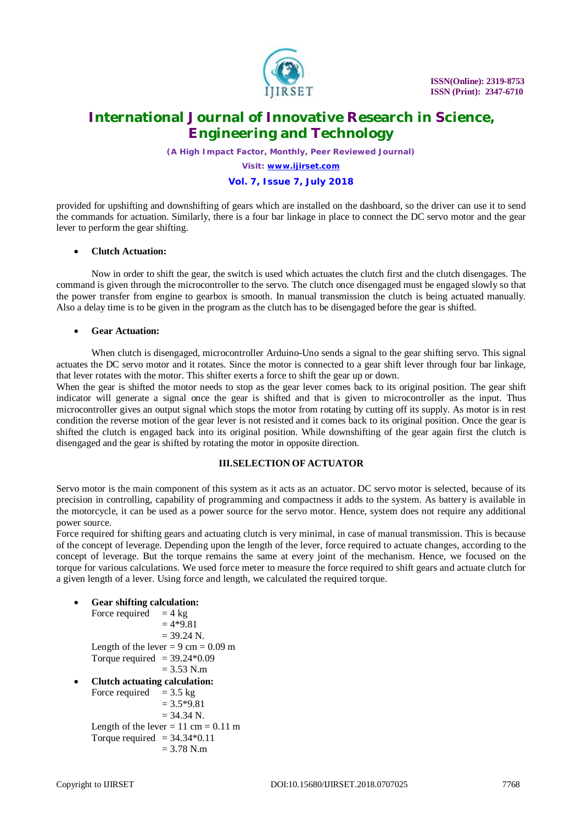

*(A High Impact Factor, Monthly, Peer Reviewed Journal)*

*Visit: [www.ijirset.com](http://www.ijirset.com)*

## **Vol. 7, Issue 7, July 2018**

provided for upshifting and downshifting of gears which are installed on the dashboard, so the driver can use it to send the commands for actuation. Similarly, there is a four bar linkage in place to connect the DC servo motor and the gear lever to perform the gear shifting.

#### **Clutch Actuation:**

Now in order to shift the gear, the switch is used which actuates the clutch first and the clutch disengages. The command is given through the microcontroller to the servo. The clutch once disengaged must be engaged slowly so that the power transfer from engine to gearbox is smooth. In manual transmission the clutch is being actuated manually. Also a delay time is to be given in the program as the clutch has to be disengaged before the gear is shifted.

## **Gear Actuation:**

When clutch is disengaged, microcontroller Arduino-Uno sends a signal to the gear shifting servo. This signal actuates the DC servo motor and it rotates. Since the motor is connected to a gear shift lever through four bar linkage, that lever rotates with the motor. This shifter exerts a force to shift the gear up or down.

When the gear is shifted the motor needs to stop as the gear lever comes back to its original position. The gear shift indicator will generate a signal once the gear is shifted and that is given to microcontroller as the input. Thus microcontroller gives an output signal which stops the motor from rotating by cutting off its supply. As motor is in rest condition the reverse motion of the gear lever is not resisted and it comes back to its original position. Once the gear is shifted the clutch is engaged back into its original position. While downshifting of the gear again first the clutch is disengaged and the gear is shifted by rotating the motor in opposite direction.

# **III.SELECTION OF ACTUATOR**

Servo motor is the main component of this system as it acts as an actuator. DC servo motor is selected, because of its precision in controlling, capability of programming and compactness it adds to the system. As battery is available in the motorcycle, it can be used as a power source for the servo motor. Hence, system does not require any additional power source.

Force required for shifting gears and actuating clutch is very minimal, in case of manual transmission. This is because of the concept of leverage. Depending upon the length of the lever, force required to actuate changes, according to the concept of leverage. But the torque remains the same at every joint of the mechanism. Hence, we focused on the torque for various calculations. We used force meter to measure the force required to shift gears and actuate clutch for a given length of a lever. Using force and length, we calculated the required torque.

 **Gear shifting calculation:** Force required  $= 4 \text{ kg}$ 

 $= 4*9.81$  $= 39.24$  N. Length of the lever  $= 9 \text{ cm} = 0.09 \text{ m}$ Torque required  $= 39.24*0.09$  $= 3.53$  N.m **Clutch actuating calculation:** Force required  $= 3.5 \text{ kg}$  $= 3.5*9.81$  $= 34.34$  N.

Length of the lever  $= 11$  cm  $= 0.11$  m Torque required  $= 34.34*0.11$  $= 3.78$  N.m.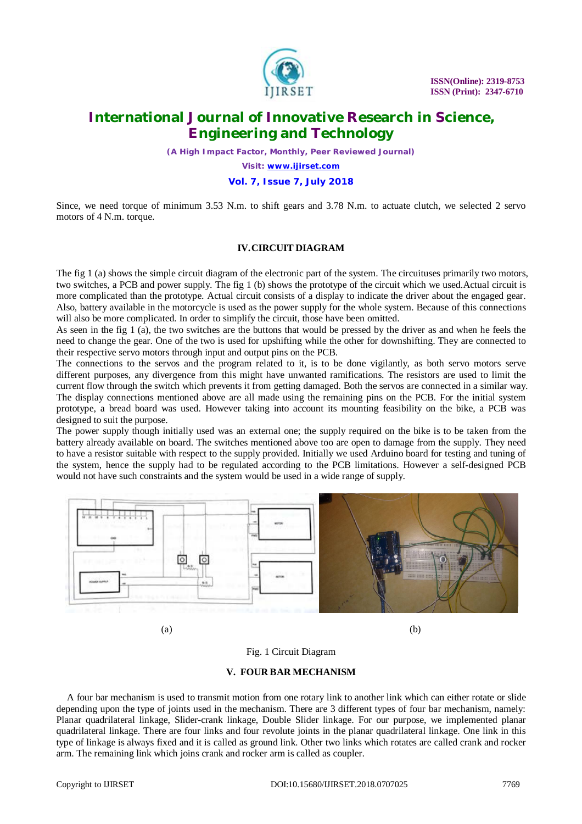

*(A High Impact Factor, Monthly, Peer Reviewed Journal)*

*Visit: [www.ijirset.com](http://www.ijirset.com)*

# **Vol. 7, Issue 7, July 2018**

Since, we need torque of minimum 3.53 N.m. to shift gears and 3.78 N.m. to actuate clutch, we selected 2 servo motors of 4 N.m. torque.

### **IV.CIRCUIT DIAGRAM**

The fig 1 (a) shows the simple circuit diagram of the electronic part of the system. The circuituses primarily two motors, two switches, a PCB and power supply. The fig 1 (b) shows the prototype of the circuit which we used.Actual circuit is more complicated than the prototype. Actual circuit consists of a display to indicate the driver about the engaged gear. Also, battery available in the motorcycle is used as the power supply for the whole system. Because of this connections will also be more complicated. In order to simplify the circuit, those have been omitted.

As seen in the fig 1 (a), the two switches are the buttons that would be pressed by the driver as and when he feels the need to change the gear. One of the two is used for upshifting while the other for downshifting. They are connected to their respective servo motors through input and output pins on the PCB.

The connections to the servos and the program related to it, is to be done vigilantly, as both servo motors serve different purposes, any divergence from this might have unwanted ramifications. The resistors are used to limit the current flow through the switch which prevents it from getting damaged. Both the servos are connected in a similar way. The display connections mentioned above are all made using the remaining pins on the PCB. For the initial system prototype, a bread board was used. However taking into account its mounting feasibility on the bike, a PCB was designed to suit the purpose.

The power supply though initially used was an external one; the supply required on the bike is to be taken from the battery already available on board. The switches mentioned above too are open to damage from the supply. They need to have a resistor suitable with respect to the supply provided. Initially we used Arduino board for testing and tuning of the system, hence the supply had to be regulated according to the PCB limitations. However a self-designed PCB would not have such constraints and the system would be used in a wide range of supply.



Fig. 1 Circuit Diagram

#### **V. FOUR BAR MECHANISM**

A four bar mechanism is used to transmit motion from one rotary link to another link which can either rotate or slide depending upon the type of joints used in the mechanism. There are 3 different types of four bar mechanism, namely: Planar quadrilateral linkage, Slider-crank linkage, Double Slider linkage. For our purpose, we implemented planar quadrilateral linkage. There are four links and four revolute joints in the planar quadrilateral linkage. One link in this type of linkage is always fixed and it is called as ground link. Other two links which rotates are called crank and rocker arm. The remaining link which joins crank and rocker arm is called as coupler.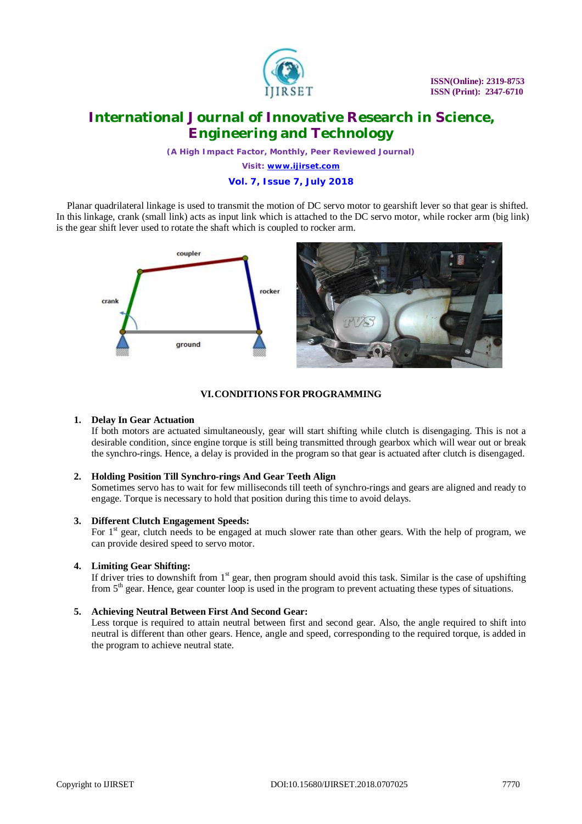

*(A High Impact Factor, Monthly, Peer Reviewed Journal)*

*Visit: [www.ijirset.com](http://www.ijirset.com)*

# **Vol. 7, Issue 7, July 2018**

Planar quadrilateral linkage is used to transmit the motion of DC servo motor to gearshift lever so that gear is shifted. In this linkage, crank (small link) acts as input link which is attached to the DC servo motor, while rocker arm (big link) is the gear shift lever used to rotate the shaft which is coupled to rocker arm.



## **VI.CONDITIONS FOR PROGRAMMING**

#### **1. Delay In Gear Actuation**

If both motors are actuated simultaneously, gear will start shifting while clutch is disengaging. This is not a desirable condition, since engine torque is still being transmitted through gearbox which will wear out or break the synchro-rings. Hence, a delay is provided in the program so that gear is actuated after clutch is disengaged.

#### **2. Holding Position Till Synchro-rings And Gear Teeth Align**

Sometimes servo has to wait for few milliseconds till teeth of synchro-rings and gears are aligned and ready to engage. Torque is necessary to hold that position during this time to avoid delays.

#### **3. Different Clutch Engagement Speeds:**

For  $1<sup>st</sup>$  gear, clutch needs to be engaged at much slower rate than other gears. With the help of program, we can provide desired speed to servo motor.

#### **4. Limiting Gear Shifting:**

If driver tries to downshift from  $1<sup>st</sup>$  gear, then program should avoid this task. Similar is the case of upshifting from 5<sup>th</sup> gear. Hence, gear counter loop is used in the program to prevent actuating these types of situations.

#### **5. Achieving Neutral Between First And Second Gear:**

Less torque is required to attain neutral between first and second gear. Also, the angle required to shift into neutral is different than other gears. Hence, angle and speed, corresponding to the required torque, is added in the program to achieve neutral state.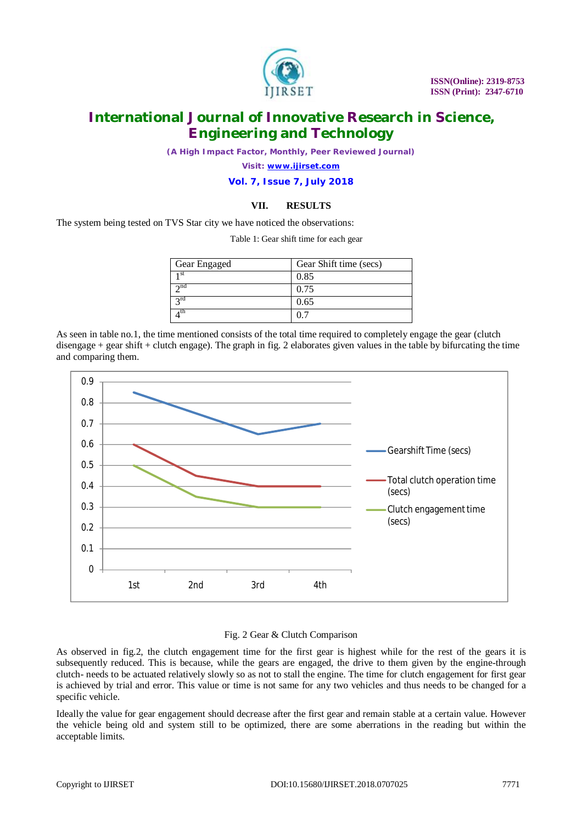

*(A High Impact Factor, Monthly, Peer Reviewed Journal)*

*Visit: [www.ijirset.com](http://www.ijirset.com)*

**Vol. 7, Issue 7, July 2018**

## **VII. RESULTS**

Table 1: Gear shift time for each gear

The system being tested on TVS Star city we have noticed the observations:

| Gear Engaged    | Gear Shift time (secs) |
|-----------------|------------------------|
| 1 <sup>st</sup> | 0.85                   |
| 2 <sup>nd</sup> | 0.75                   |
| 3 <sup>rd</sup> | 0.65                   |
| 4 <sup>th</sup> |                        |

As seen in table no.1, the time mentioned consists of the total time required to completely engage the gear (clutch disengage + gear shift + clutch engage). The graph in fig. 2 elaborates given values in the table by bifurcating the time and comparing them.



#### Fig. 2 Gear & Clutch Comparison

As observed in fig.2, the clutch engagement time for the first gear is highest while for the rest of the gears it is subsequently reduced. This is because, while the gears are engaged, the drive to them given by the engine-through clutch- needs to be actuated relatively slowly so as not to stall the engine. The time for clutch engagement for first gear is achieved by trial and error. This value or time is not same for any two vehicles and thus needs to be changed for a specific vehicle.

Ideally the value for gear engagement should decrease after the first gear and remain stable at a certain value. However the vehicle being old and system still to be optimized, there are some aberrations in the reading but within the acceptable limits.